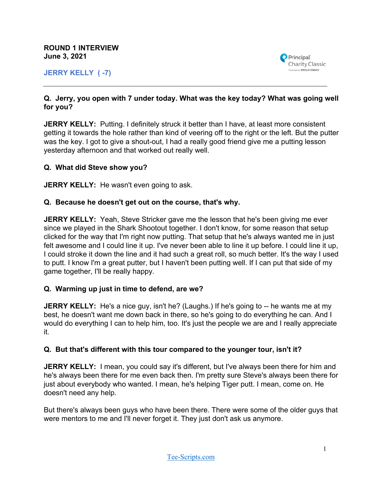**ROUND 1 INTERVIEW June 3, 2021**

**JERRY KELLY ( -7)**



### **Q. Jerry, you open with 7 under today. What was the key today? What was going well for you?**

**JERRY KELLY:** Putting. I definitely struck it better than I have, at least more consistent getting it towards the hole rather than kind of veering off to the right or the left. But the putter was the key. I got to give a shout-out, I had a really good friend give me a putting lesson yesterday afternoon and that worked out really well.

## **Q. What did Steve show you?**

**JERRY KELLY:** He wasn't even going to ask.

#### **Q. Because he doesn't get out on the course, that's why.**

**JERRY KELLY:** Yeah, Steve Stricker gave me the lesson that he's been giving me ever since we played in the Shark Shootout together. I don't know, for some reason that setup clicked for the way that I'm right now putting. That setup that he's always wanted me in just felt awesome and I could line it up. I've never been able to line it up before. I could line it up, I could stroke it down the line and it had such a great roll, so much better. It's the way I used to putt. I know I'm a great putter, but I haven't been putting well. If I can put that side of my game together, I'll be really happy.

### **Q. Warming up just in time to defend, are we?**

**JERRY KELLY:** He's a nice guy, isn't he? (Laughs.) If he's going to -- he wants me at my best, he doesn't want me down back in there, so he's going to do everything he can. And I would do everything I can to help him, too. It's just the people we are and I really appreciate it.

### **Q. But that's different with this tour compared to the younger tour, isn't it?**

**JERRY KELLY:** I mean, you could say it's different, but I've always been there for him and he's always been there for me even back then. I'm pretty sure Steve's always been there for just about everybody who wanted. I mean, he's helping Tiger putt. I mean, come on. He doesn't need any help.

But there's always been guys who have been there. There were some of the older guys that were mentors to me and I'll never forget it. They just don't ask us anymore.